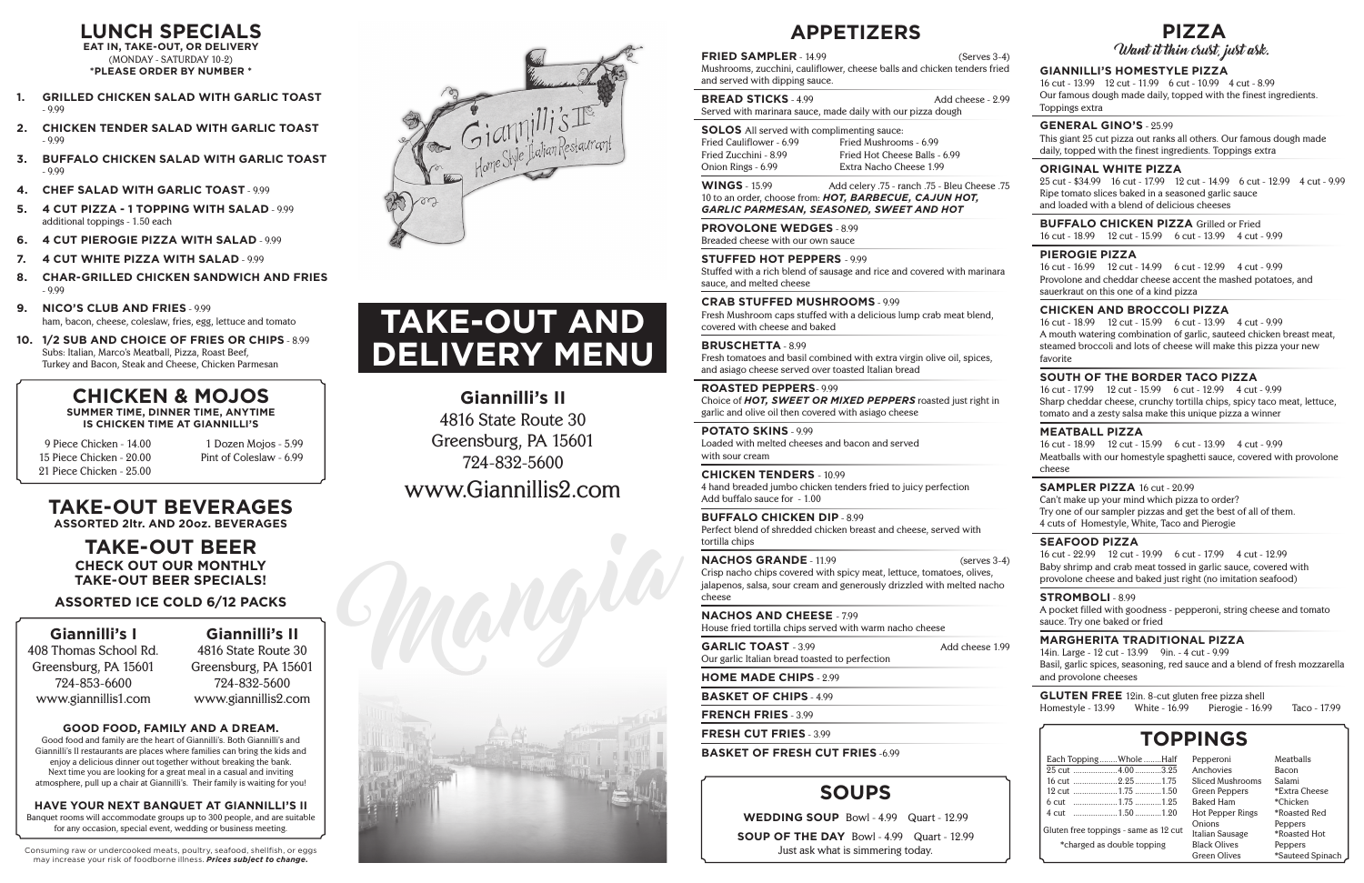Mangia





# **TAKE-OUT BEVERAGES**

**ASSORTED 2ltr. AND 20oz. BEVERAGES**

### **TAKE-OUT BEER CHECK OUT OUR MONTHLY TAKE-OUT BEER SPECIALS!**

### **ASSORTED ICE COLD 6/12 PACKS**

**LUNCH SPECIALS EAT IN, TAKE-OUT, OR DELIVERY (MONDAY - SATURDAY 10-2) \*PLEASE ORDER BY NUMBER \***

- **1. GRILLED CHICKEN SALAD WITH GARLIC TOAST - 9.99**
- **2. CHICKEN TENDER SALAD WITH GARLIC TOAST - 9.99**
- **3. BUFFALO CHICKEN SALAD WITH GARLIC TOAST - 9.99**
- **4. CHEF SALAD WITH GARLIC TOAST 9.99**
- **5. 4 CUT PIZZA 1 TOPPING WITH SALAD 9.99 additional toppings - 1.50 each**
- **6. 4 CUT PIEROGIE PIZZA WITH SALAD 9.99**
- **7. 4 CUT WHITE PIZZA WITH SALAD 9.99**
- **8. CHAR-GRILLED CHICKEN SANDWICH AND FRIES - 9.99**
- **9. NICO'S CLUB AND FRIES 9.99 ham, bacon, cheese, coleslaw, fries, egg, lettuce and tomato**
- **10. 1/2 SUB AND CHOICE OF FRIES OR CHIPS 8.99 Subs: Italian, Marco's Meatball, Pizza, Roast Beef, Turkey and Bacon, Steak and Cheese, Chicken Parmesan**

### **CHICKEN & MOJOS SUMMER TIME, DINNER TIME, ANYTIME IS CHICKEN TIME AT GIANNILLI'S**

**9 Piece Chicken - 14.00 15 Piece Chicken - 20.00 21 Piece Chicken - 25.00**

**1 Dozen Mojos - 5.99 Pint of Coleslaw - 6.99**

**Good food and family are the heart of Giannilli's. Both Giannilli's and Giannilli's II restaurants are places where families can bring the kids and enjoy a delicious dinner out together without breaking the bank. Next time you are looking for a great meal in a casual and inviting**  atmosphere, pull up a chair at Giannilli's. Their family is waiting for you!

| <b>APPETIZERS</b>                                                                                                                                                                                 | <b>PIZZA</b>                                                                                                                                                                                                                                           |
|---------------------------------------------------------------------------------------------------------------------------------------------------------------------------------------------------|--------------------------------------------------------------------------------------------------------------------------------------------------------------------------------------------------------------------------------------------------------|
| <b>FRIED SAMPLER - 14.99</b><br>$(Serves 3-4)$                                                                                                                                                    | Want it thin crust, just ask.                                                                                                                                                                                                                          |
| Mushrooms, zucchini, cauliflower, cheese balls and chicken tenders fried<br>and served with dipping sauce.                                                                                        | <b>GIANNILLI'S HOMESTYLE PIZZA</b><br>16 cut - 13.99 12 cut - 11.99 6 cut - 10.99 4 cut - 8.99                                                                                                                                                         |
| <b>BREAD STICKS - 4.99</b><br>Add cheese - 2.99<br>Served with marinara sauce, made daily with our pizza dough                                                                                    | Our famous dough made daily, topped with the finest ingredients.<br>Toppings extra                                                                                                                                                                     |
| <b>SOLOS</b> All served with complimenting sauce:<br>Fried Cauliflower - 6.99<br>Fried Mushrooms - 6.99<br>Fried Zucchini - 8.99<br>Fried Hot Cheese Balls - 6.99                                 | <b>GENERAL GINO'S - 25.99</b><br>This giant 25 cut pizza out ranks all others. Our famous dough made<br>daily, topped with the finest ingredients. Toppings extra                                                                                      |
| Extra Nacho Cheese 1.99<br>Onion Rings - 6.99                                                                                                                                                     | <b>ORIGINAL WHITE PIZZA</b><br>25 cut - \$34.99 16 cut - 17.99 12 cut - 14.99 6 cut - 12.99 4 cut - 9.99                                                                                                                                               |
| <b>WINGS</b> - 15.99<br>Add celery .75 - ranch .75 - Bleu Cheese .75<br>10 to an order, choose from: HOT, BARBECUE, CAJUN HOT,<br>GARLIC PARMESAN, SEASONED, SWEET AND HOT                        | Ripe tomato slices baked in a seasoned garlic sauce<br>and loaded with a blend of delicious cheeses                                                                                                                                                    |
| <b>PROVOLONE WEDGES - 8.99</b><br>Breaded cheese with our own sauce                                                                                                                               | <b>BUFFALO CHICKEN PIZZA Grilled or Fried</b><br>16 cut - 18.99 12 cut - 15.99 6 cut - 13.99 4 cut - 9.99                                                                                                                                              |
| <b>STUFFED HOT PEPPERS - 9.99</b><br>Stuffed with a rich blend of sausage and rice and covered with marinara<br>sauce, and melted cheese                                                          | <b>PIEROGIE PIZZA</b><br>16 cut - 16.99 12 cut - 14.99 6 cut - 12.99<br>4 cut - 9.99<br>Provolone and cheddar cheese accent the mashed potatoes, and<br>sauerkraut on this one of a kind pizza                                                         |
| <b>CRAB STUFFED MUSHROOMS - 9.99</b><br>Fresh Mushroom caps stuffed with a delicious lump crab meat blend,<br>covered with cheese and baked                                                       | <b>CHICKEN AND BROCCOLI PIZZA</b><br>16 cut - 18.99 12 cut - 15.99 6 cut - 13.99 4 cut - 9.99<br>A mouth watering combination of garlic, sauteed chicken breast meat,<br>steamed broccoli and lots of cheese will make this pizza your new<br>favorite |
| <b>BRUSCHETTA - 8.99</b><br>Fresh tomatoes and basil combined with extra virgin olive oil, spices,<br>and asiago cheese served over toasted Italian bread                                         |                                                                                                                                                                                                                                                        |
| <b>ROASTED PEPPERS-9.99</b><br>Choice of HOT, SWEET OR MIXED PEPPERS roasted just right in<br>garlic and olive oil then covered with asiago cheese                                                | SOUTH OF THE BORDER TACO PIZZA<br>16 cut - 17.99 12 cut - 15.99 6 cut - 12.99 4 cut - 9.99<br>Sharp cheddar cheese, crunchy tortilla chips, spicy taco meat, lettuce,<br>tomato and a zesty salsa make this unique pizza a winner                      |
| <b>POTATO SKINS - 9.99</b><br>Loaded with melted cheeses and bacon and served<br>with sour cream                                                                                                  | <b>MEATBALL PIZZA</b><br>16 cut - 18.99 12 cut - 15.99 6 cut - 13.99 4 cut - 9.99<br>Meatballs with our homestyle spaghetti sauce, covered with provolone                                                                                              |
| <b>CHICKEN TENDERS - 10.99</b><br>4 hand breaded jumbo chicken tenders fried to juicy perfection<br>Add buffalo sauce for - 1.00<br><b>BUFFALO CHICKEN DIP - 8.99</b>                             | cheese<br><b>SAMPLER PIZZA 16 cut - 20.99</b><br>Can't make up your mind which pizza to order?<br>Try one of our sampler pizzas and get the best of all of them.                                                                                       |
| Perfect blend of shredded chicken breast and cheese, served with<br>tortilla chips                                                                                                                | 4 cuts of Homestyle, White, Taco and Pierogie<br><b>SEAFOOD PIZZA</b>                                                                                                                                                                                  |
| <b>NACHOS GRANDE - 11.99</b><br>$(serves 3-4)$<br>Crisp nacho chips covered with spicy meat, lettuce, tomatoes, olives,<br>jalapenos, salsa, sour cream and generously drizzled with melted nacho | 16 cut - 22.99 12 cut - 19.99 6 cut - 17.99 4 cut - 12.99<br>Baby shrimp and crab meat tossed in garlic sauce, covered with<br>provolone cheese and baked just right (no imitation seafood)                                                            |
| cheese<br><b>NACHOS AND CHEESE - 7.99</b><br>House fried tortilla chips served with warm nacho cheese                                                                                             | <b>STROMBOLI</b> -8.99<br>A pocket filled with goodness - pepperoni, string cheese and tomato<br>sauce. Try one baked or fried                                                                                                                         |
| <b>GARLIC TOAST - 3.99</b><br>Add cheese 1.99<br>Our garlic Italian bread toasted to perfection                                                                                                   | <b>MARGHERITA TRADITIONAL PIZZA</b><br>14in. Large - 12 cut - 13.99 9in. - 4 cut - 9.99<br>Basil, garlic spices, seasoning, red sauce and a blend of fresh mozzarella                                                                                  |
| <b>HOME MADE CHIPS - 2.99</b>                                                                                                                                                                     | and provolone cheeses                                                                                                                                                                                                                                  |
| <b>BASKET OF CHIPS - 4.99</b>                                                                                                                                                                     | <b>GLUTEN FREE</b> 12in. 8-cut gluten free pizza shell                                                                                                                                                                                                 |
| <b>FRENCH FRIES - 3.99</b>                                                                                                                                                                        | White - 16.99<br>Pierogie - 16.99<br>Homestyle - 13.99<br>Taco - 17.99                                                                                                                                                                                 |
| <b>FRESH CUT FRIES</b> - 3.99                                                                                                                                                                     | <b>TOPPINGS</b>                                                                                                                                                                                                                                        |
| <b>BASKET OF FRESH CUT FRIES -6.99</b>                                                                                                                                                            | Each Topping  Whole  Half<br>Meatballs<br>Pepperoni<br>Anchovies<br>Bacon                                                                                                                                                                              |
| <b>SOUPS</b>                                                                                                                                                                                      | 16 cut 2.251.75<br>Sliced Mushrooms<br>Salami<br>Green Peppers<br>*Extra Cheese<br>*Chicken<br><b>Baked Ham</b>                                                                                                                                        |
| <b>WEDDING SOUP Bowl - 4.99</b><br>Quart - 12.99                                                                                                                                                  | *Roasted Red<br>Hot Pepper Rings<br>Onions<br>Peppers                                                                                                                                                                                                  |
| <b>SOUP OF THE DAY</b> Bowl - 4.99 Quart - 12.99                                                                                                                                                  | Gluten free toppings - same as 12 cut<br>*Roasted Hot<br>Italian Sausage<br><b>Black Olives</b><br>*charged as double topping<br>Peppers                                                                                                               |

**Green Olives**

**\*Sauteed Spinach**

# **HAVE YOUR NEXT BANQUET AT GIANNILLI'S II**

**Banquet rooms will accommodate groups up to 300 people, and are suitable for any occasion, special event, wedding or business meeting.**

### **Giannilli's I**

**408 Thomas School Rd. Greensburg, PA 15601 724-853-6600 www.giannillis1.com**

**Giannilli's II 4816 State Route 30 Greensburg, PA 15601 724-832-5600 www.giannillis2.com**

**Giannilli's II 4816 State Route 30 Greensburg, PA 15601 724-832-5600 www.Giannillis2.com**

### **GOOD FOOD, FAMILY AND A DREAM.**

**Just ask what is simmering today.**

# **TAKE-OUT AND DELIVERY MENU**